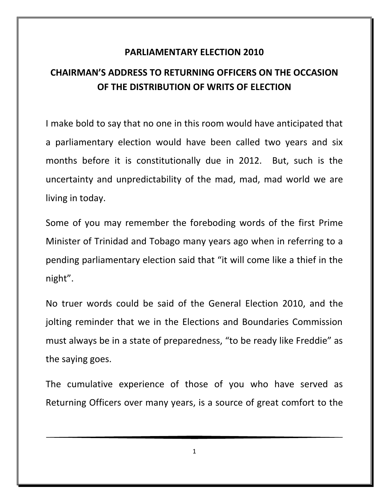## **PARLIAMENTARY ELECTION 2010**

## **CHAIRMAN'S ADDRESS TO RETURNING OFFICERS ON THE OCCASION OF THE DISTRIBUTION OF WRITS OF ELECTION**

I make bold to say that no one in this room would have anticipated that a parliamentary election would have been called two years and six months before it is constitutionally due in 2012. But, such is the uncertainty and unpredictability of the mad, mad, mad world we are living in today.

Some of you may remember the foreboding words of the first Prime Minister of Trinidad and Tobago many years ago when in referring to a pending parliamentary election said that "it will come like a thief in the night".

No truer words could be said of the General Election 2010, and the jolting reminder that we in the Elections and Boundaries Commission must always be in a state of preparedness, "to be ready like Freddie" as the saying goes.

The cumulative experience of those of you who have served as Returning Officers over many years, is a source of great comfort to the

1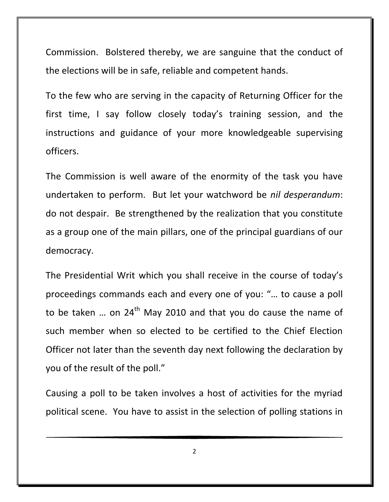Commission. Bolstered thereby, we are sanguine that the conduct of the elections will be in safe, reliable and competent hands.

To the few who are serving in the capacity of Returning Officer for the first time, I say follow closely today's training session, and the instructions and guidance of your more knowledgeable supervising officers.

The Commission is well aware of the enormity of the task you have undertaken to perform. But let your watchword be *nil desperandum*: do not despair. Be strengthened by the realization that you constitute as a group one of the main pillars, one of the principal guardians of our democracy.

The Presidential Writ which you shall receive in the course of today's proceedings commands each and every one of you: "… to cause a poll to be taken ... on  $24^{th}$  May 2010 and that you do cause the name of such member when so elected to be certified to the Chief Election Officer not later than the seventh day next following the declaration by you of the result of the poll."

Causing a poll to be taken involves a host of activities for the myriad political scene. You have to assist in the selection of polling stations in

2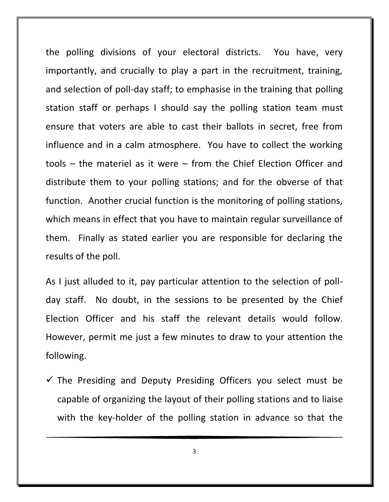the polling divisions of your electoral districts. You have, very importantly, and crucially to play a part in the recruitment, training, and selection of poll-day staff; to emphasise in the training that polling station staff or perhaps I should say the polling station team must ensure that voters are able to cast their ballots in secret, free from influence and in a calm atmosphere. You have to collect the working tools – the materiel as it were – from the Chief Election Officer and distribute them to your polling stations; and for the obverse of that function. Another crucial function is the monitoring of polling stations, which means in effect that you have to maintain regular surveillance of them. Finally as stated earlier you are responsible for declaring the results of the poll.

As I just alluded to it, pay particular attention to the selection of pollday staff. No doubt, in the sessions to be presented by the Chief Election Officer and his staff the relevant details would follow. However, permit me just a few minutes to draw to your attention the following.

 $\checkmark$  The Presiding and Deputy Presiding Officers you select must be capable of organizing the layout of their polling stations and to liaise with the key-holder of the polling station in advance so that the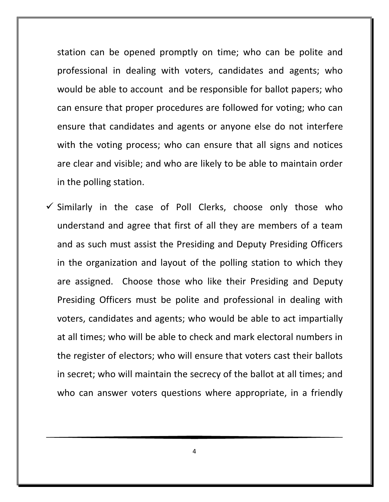station can be opened promptly on time; who can be polite and professional in dealing with voters, candidates and agents; who would be able to account and be responsible for ballot papers; who can ensure that proper procedures are followed for voting; who can ensure that candidates and agents or anyone else do not interfere with the voting process; who can ensure that all signs and notices are clear and visible; and who are likely to be able to maintain order in the polling station.

 $\checkmark$  Similarly in the case of Poll Clerks, choose only those who understand and agree that first of all they are members of a team and as such must assist the Presiding and Deputy Presiding Officers in the organization and layout of the polling station to which they are assigned. Choose those who like their Presiding and Deputy Presiding Officers must be polite and professional in dealing with voters, candidates and agents; who would be able to act impartially at all times; who will be able to check and mark electoral numbers in the register of electors; who will ensure that voters cast their ballots in secret; who will maintain the secrecy of the ballot at all times; and who can answer voters questions where appropriate, in a friendly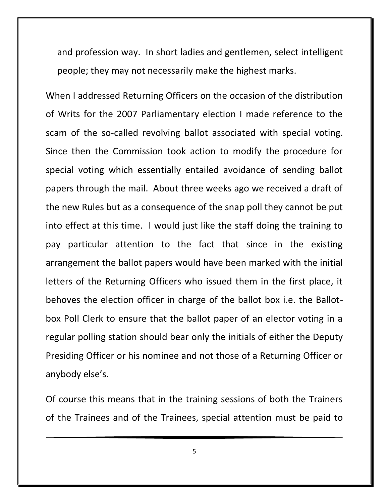and profession way. In short ladies and gentlemen, select intelligent people; they may not necessarily make the highest marks.

When I addressed Returning Officers on the occasion of the distribution of Writs for the 2007 Parliamentary election I made reference to the scam of the so-called revolving ballot associated with special voting. Since then the Commission took action to modify the procedure for special voting which essentially entailed avoidance of sending ballot papers through the mail. About three weeks ago we received a draft of the new Rules but as a consequence of the snap poll they cannot be put into effect at this time. I would just like the staff doing the training to pay particular attention to the fact that since in the existing arrangement the ballot papers would have been marked with the initial letters of the Returning Officers who issued them in the first place, it behoves the election officer in charge of the ballot box i.e. the Ballotbox Poll Clerk to ensure that the ballot paper of an elector voting in a regular polling station should bear only the initials of either the Deputy Presiding Officer or his nominee and not those of a Returning Officer or anybody else's.

Of course this means that in the training sessions of both the Trainers of the Trainees and of the Trainees, special attention must be paid to

5